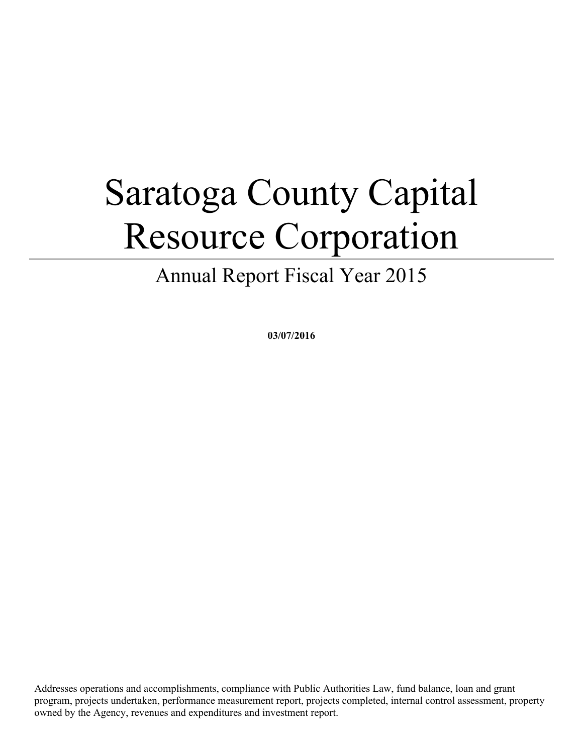# Saratoga County Capital Resource Corporation

Annual Report Fiscal Year 2015

**03/07/2016**

Addresses operations and accomplishments, compliance with Public Authorities Law, fund balance, loan and grant program, projects undertaken, performance measurement report, projects completed, internal control assessment, property owned by the Agency, revenues and expenditures and investment report.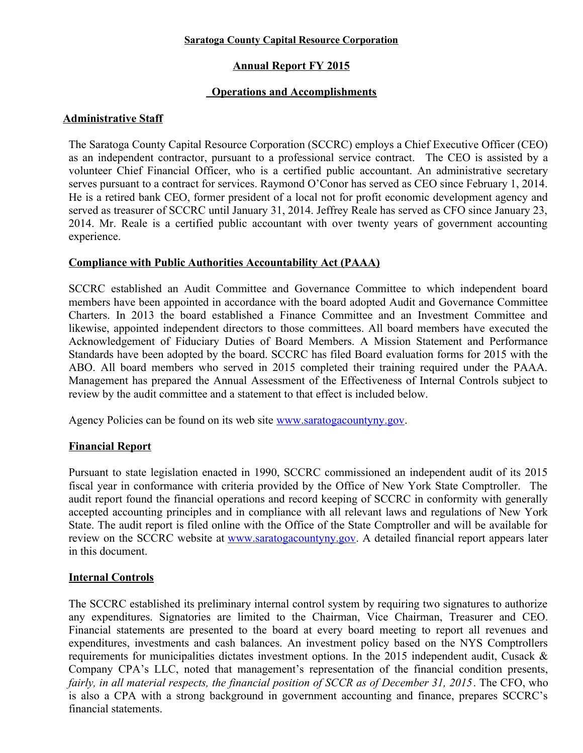#### **Saratoga County Capital Resource Corporation**

# **Annual Report FY 2015**

# **Operations and Accomplishments**

## **Administrative Staff**

The Saratoga County Capital Resource Corporation (SCCRC) employs a Chief Executive Officer (CEO) as an independent contractor, pursuant to a professional service contract. The CEO is assisted by a volunteer Chief Financial Officer, who is a certified public accountant. An administrative secretary serves pursuant to a contract for services. Raymond O'Conor has served as CEO since February 1, 2014. He is a retired bank CEO, former president of a local not for profit economic development agency and served as treasurer of SCCRC until January 31, 2014. Jeffrey Reale has served as CFO since January 23, 2014. Mr. Reale is a certified public accountant with over twenty years of government accounting experience.

## **Compliance with Public Authorities Accountability Act (PAAA)**

SCCRC established an Audit Committee and Governance Committee to which independent board members have been appointed in accordance with the board adopted Audit and Governance Committee Charters. In 2013 the board established a Finance Committee and an Investment Committee and likewise, appointed independent directors to those committees. All board members have executed the Acknowledgement of Fiduciary Duties of Board Members. A Mission Statement and Performance Standards have been adopted by the board. SCCRC has filed Board evaluation forms for 2015 with the ABO. All board members who served in 2015 completed their training required under the PAAA. Management has prepared the Annual Assessment of the Effectiveness of Internal Controls subject to review by the audit committee and a statement to that effect is included below.

Agency Policies can be found on its web site [www.saratogacountyny.gov.](http://www.saratogacountyny.gov/)

## **Financial Report**

Pursuant to state legislation enacted in 1990, SCCRC commissioned an independent audit of its 2015 fiscal year in conformance with criteria provided by the Office of New York State Comptroller. The audit report found the financial operations and record keeping of SCCRC in conformity with generally accepted accounting principles and in compliance with all relevant laws and regulations of New York State. The audit report is filed online with the Office of the State Comptroller and will be available for review on the SCCRC website at [www.saratogacountyny.gov.](http://www.saratogacountyny.gov/) A detailed financial report appears later in this document.

## **Internal Controls**

The SCCRC established its preliminary internal control system by requiring two signatures to authorize any expenditures. Signatories are limited to the Chairman, Vice Chairman, Treasurer and CEO. Financial statements are presented to the board at every board meeting to report all revenues and expenditures, investments and cash balances. An investment policy based on the NYS Comptrollers requirements for municipalities dictates investment options. In the 2015 independent audit, Cusack & Company CPA's LLC, noted that management's representation of the financial condition presents, *fairly, in all material respects, the financial position of SCCR as of December 31, 2015*. The CFO, who is also a CPA with a strong background in government accounting and finance, prepares SCCRC's financial statements.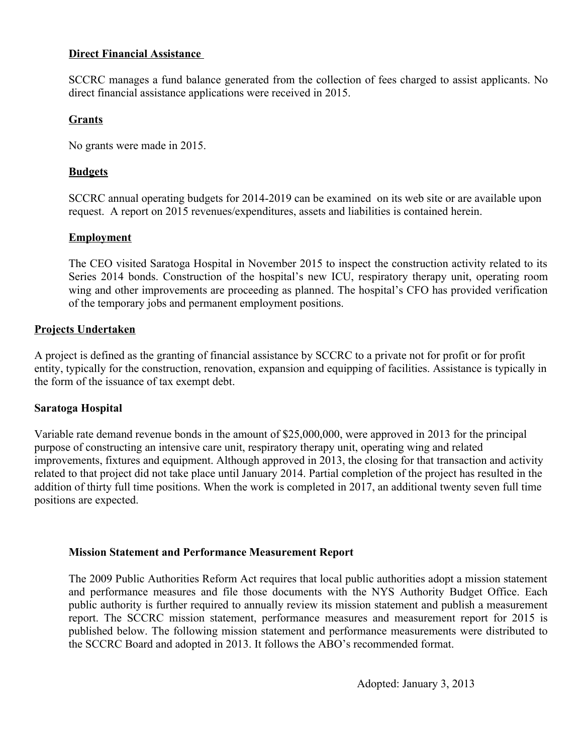#### **Direct Financial Assistance**

SCCRC manages a fund balance generated from the collection of fees charged to assist applicants. No direct financial assistance applications were received in 2015.

## **Grants**

No grants were made in 2015.

# **Budgets**

SCCRC annual operating budgets for 2014-2019 can be examined on its web site or are available upon request. A report on 2015 revenues/expenditures, assets and liabilities is contained herein.

# **Employment**

The CEO visited Saratoga Hospital in November 2015 to inspect the construction activity related to its Series 2014 bonds. Construction of the hospital's new ICU, respiratory therapy unit, operating room wing and other improvements are proceeding as planned. The hospital's CFO has provided verification of the temporary jobs and permanent employment positions.

# **Projects Undertaken**

A project is defined as the granting of financial assistance by SCCRC to a private not for profit or for profit entity, typically for the construction, renovation, expansion and equipping of facilities. Assistance is typically in the form of the issuance of tax exempt debt.

# **Saratoga Hospital**

Variable rate demand revenue bonds in the amount of \$25,000,000, were approved in 2013 for the principal purpose of constructing an intensive care unit, respiratory therapy unit, operating wing and related improvements, fixtures and equipment. Although approved in 2013, the closing for that transaction and activity related to that project did not take place until January 2014. Partial completion of the project has resulted in the addition of thirty full time positions. When the work is completed in 2017, an additional twenty seven full time positions are expected.

## **Mission Statement and Performance Measurement Report**

The 2009 Public Authorities Reform Act requires that local public authorities adopt a mission statement and performance measures and file those documents with the NYS Authority Budget Office. Each public authority is further required to annually review its mission statement and publish a measurement report. The SCCRC mission statement, performance measures and measurement report for 2015 is published below. The following mission statement and performance measurements were distributed to the SCCRC Board and adopted in 2013. It follows the ABO's recommended format.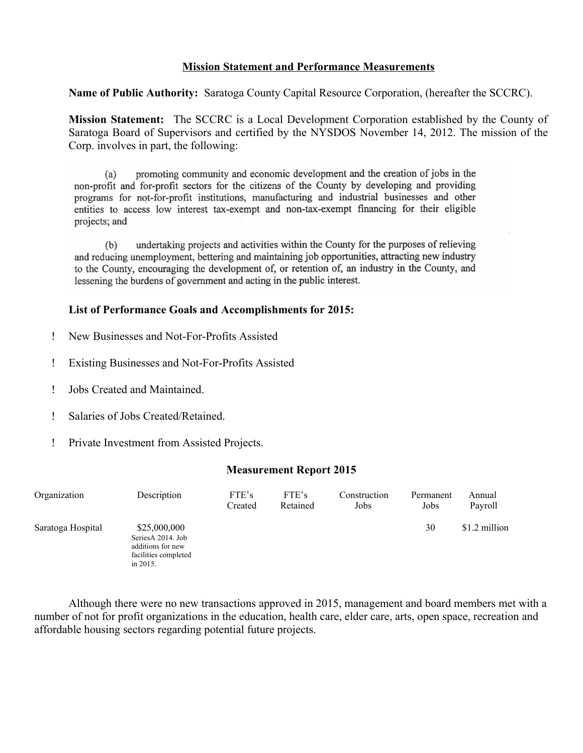#### **Mission Statement and Performance Measurements**

**Name of Public Authority:** Saratoga County Capital Resource Corporation, (hereafter the SCCRC).

**Mission Statement:** The SCCRC is a Local Development Corporation established by the County of Saratoga Board of Supervisors and certified by the NYSDOS November 14, 2012. The mission of the Corp. involves in part, the following:

promoting community and economic development and the creation of jobs in the  $(a)$ non-profit and for-profit sectors for the citizens of the County by developing and providing programs for not-for-profit institutions, manufacturing and industrial businesses and other entities to access low interest tax-exempt and non-tax-exempt financing for their eligible projects; and

undertaking projects and activities within the County for the purposes of relieving  $(b)$ and reducing unemployment, bettering and maintaining job opportunities, attracting new industry to the County, encouraging the development of, or retention of, an industry in the County, and lessening the burdens of government and acting in the public interest.

#### **List of Performance Goals and Accomplishments for 2015:**

- New Businesses and Not-For-Profits Assisted
- Existing Businesses and Not-For-Profits Assisted
- Jobs Created and Maintained.
- Salaries of Jobs Created/Retained.
- Private Investment from Assisted Projects.

#### **Measurement Report 2015**

| Organization      | Description                                                                                | FTE's<br>Created | FTE's<br>Retained | Construction<br>Jobs | Permanent<br>Jobs | Annual<br>Payroll |
|-------------------|--------------------------------------------------------------------------------------------|------------------|-------------------|----------------------|-------------------|-------------------|
| Saratoga Hospital | \$25,000,000<br>SeriesA 2014. Job<br>additions for new<br>facilities completed<br>in 2015. |                  |                   |                      | 30                | \$1.2 million     |

Although there were no new transactions approved in 2015, management and board members met with a number of not for profit organizations in the education, health care, elder care, arts, open space, recreation and affordable housing sectors regarding potential future projects.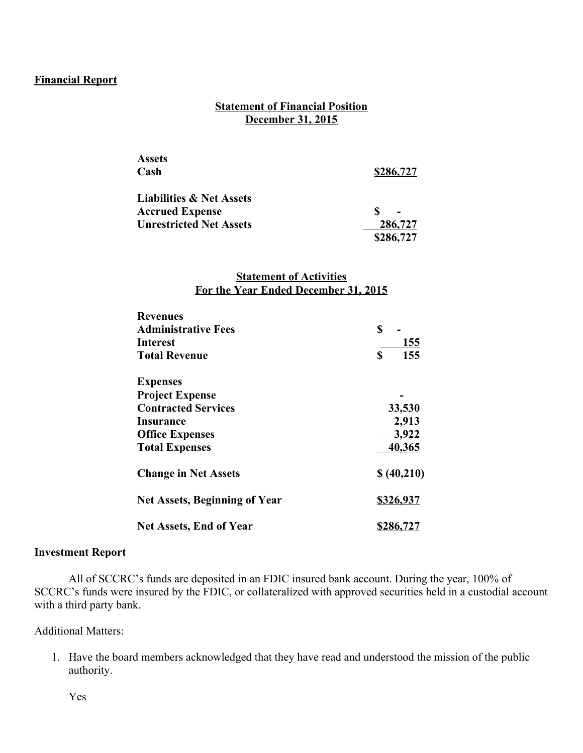## **Financial Report**

## **Statement of Financial Position December 31, 2015**

| <b>Assets</b>                       |           |
|-------------------------------------|-----------|
| Cash                                | \$286,727 |
| <b>Liabilities &amp; Net Assets</b> |           |
| <b>Accrued Expense</b>              |           |
| <b>Unrestricted Net Assets</b>      | 286,727   |
|                                     | \$286,727 |

#### **Statement of Activities For the Year Ended December 31, 2015**

| <b>Revenues</b>                      |            |  |  |
|--------------------------------------|------------|--|--|
| <b>Administrative Fees</b>           | \$         |  |  |
| Interest                             | <u>155</u> |  |  |
| <b>Total Revenue</b>                 | \$<br>155  |  |  |
| <b>Expenses</b>                      |            |  |  |
| <b>Project Expense</b>               |            |  |  |
| <b>Contracted Services</b>           | 33,530     |  |  |
| Insurance                            | 2,913      |  |  |
| <b>Office Expenses</b>               | 3,922      |  |  |
| <b>Total Expenses</b>                | 40,365     |  |  |
| <b>Change in Net Assets</b>          | \$(40,210) |  |  |
| <b>Net Assets, Beginning of Year</b> | \$326,937  |  |  |
| <b>Net Assets, End of Year</b>       | \$286,727  |  |  |

#### **Investment Report**

All of SCCRC's funds are deposited in an FDIC insured bank account. During the year, 100% of SCCRC's funds were insured by the FDIC, or collateralized with approved securities held in a custodial account with a third party bank.

#### Additional Matters:

1. Have the board members acknowledged that they have read and understood the mission of the public authority.